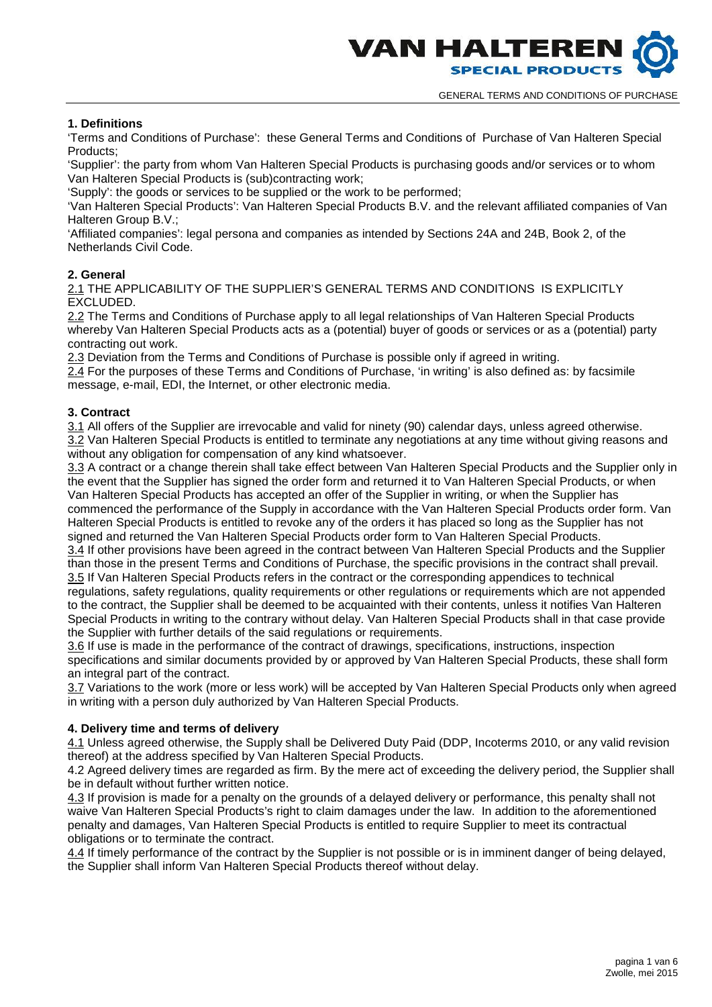

# **1. Definitions**

'Terms and Conditions of Purchase': these General Terms and Conditions of Purchase of Van Halteren Special Products;

'Supplier': the party from whom Van Halteren Special Products is purchasing goods and/or services or to whom Van Halteren Special Products is (sub)contracting work;

'Supply': the goods or services to be supplied or the work to be performed;

'Van Halteren Special Products': Van Halteren Special Products B.V. and the relevant affiliated companies of Van Halteren Group B.V.;

'Affiliated companies': legal persona and companies as intended by Sections 24A and 24B, Book 2, of the Netherlands Civil Code.

# **2. General**

2.1 THE APPLICABILITY OF THE SUPPLIER'S GENERAL TERMS AND CONDITIONS IS EXPLICITLY EXCLUDED.

2.2 The Terms and Conditions of Purchase apply to all legal relationships of Van Halteren Special Products whereby Van Halteren Special Products acts as a (potential) buyer of goods or services or as a (potential) party contracting out work.

2.3 Deviation from the Terms and Conditions of Purchase is possible only if agreed in writing.

2.4 For the purposes of these Terms and Conditions of Purchase, 'in writing' is also defined as: by facsimile message, e-mail, EDI, the Internet, or other electronic media.

# **3. Contract**

3.1 All offers of the Supplier are irrevocable and valid for ninety (90) calendar days, unless agreed otherwise. 3.2 Van Halteren Special Products is entitled to terminate any negotiations at any time without giving reasons and without any obligation for compensation of any kind whatsoever.

3.3 A contract or a change therein shall take effect between Van Halteren Special Products and the Supplier only in the event that the Supplier has signed the order form and returned it to Van Halteren Special Products, or when Van Halteren Special Products has accepted an offer of the Supplier in writing, or when the Supplier has commenced the performance of the Supply in accordance with the Van Halteren Special Products order form. Van Halteren Special Products is entitled to revoke any of the orders it has placed so long as the Supplier has not signed and returned the Van Halteren Special Products order form to Van Halteren Special Products.

3.4 If other provisions have been agreed in the contract between Van Halteren Special Products and the Supplier than those in the present Terms and Conditions of Purchase, the specific provisions in the contract shall prevail. 3.5 If Van Halteren Special Products refers in the contract or the corresponding appendices to technical regulations, safety regulations, quality requirements or other regulations or requirements which are not appended to the contract, the Supplier shall be deemed to be acquainted with their contents, unless it notifies Van Halteren Special Products in writing to the contrary without delay. Van Halteren Special Products shall in that case provide the Supplier with further details of the said regulations or requirements.

3.6 If use is made in the performance of the contract of drawings, specifications, instructions, inspection specifications and similar documents provided by or approved by Van Halteren Special Products, these shall form an integral part of the contract.

3.7 Variations to the work (more or less work) will be accepted by Van Halteren Special Products only when agreed in writing with a person duly authorized by Van Halteren Special Products.

# **4. Delivery time and terms of delivery**

4.1 Unless agreed otherwise, the Supply shall be Delivered Duty Paid (DDP, Incoterms 2010, or any valid revision thereof) at the address specified by Van Halteren Special Products.

4.2 Agreed delivery times are regarded as firm. By the mere act of exceeding the delivery period, the Supplier shall be in default without further written notice.

4.3 If provision is made for a penalty on the grounds of a delayed delivery or performance, this penalty shall not waive Van Halteren Special Products's right to claim damages under the law. In addition to the aforementioned penalty and damages, Van Halteren Special Products is entitled to require Supplier to meet its contractual obligations or to terminate the contract.

4.4 If timely performance of the contract by the Supplier is not possible or is in imminent danger of being delayed, the Supplier shall inform Van Halteren Special Products thereof without delay.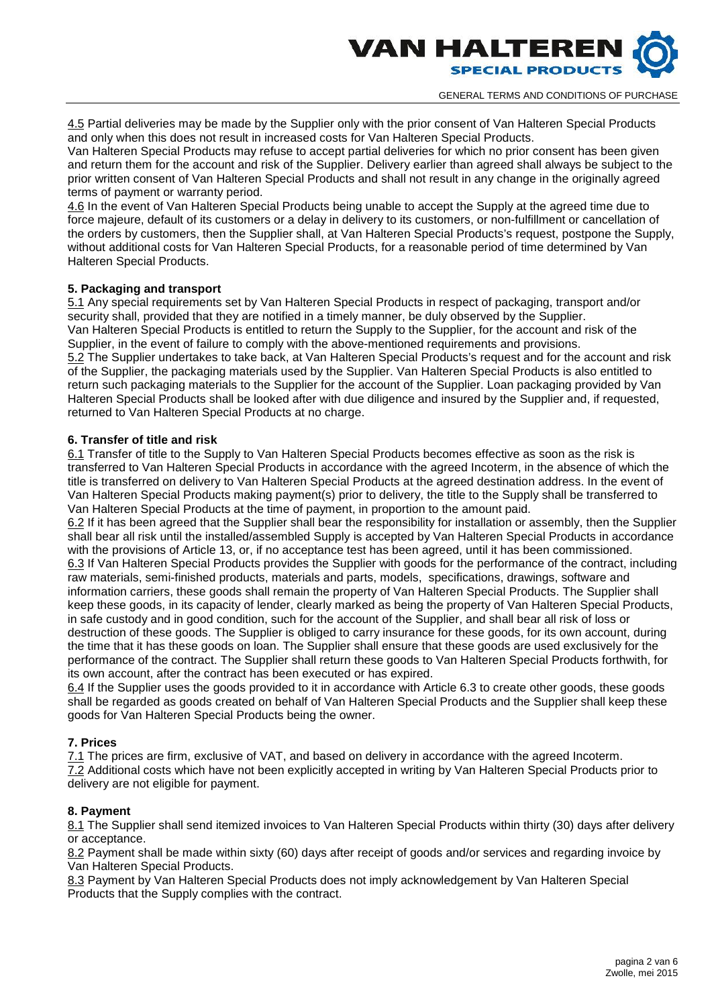

4.5 Partial deliveries may be made by the Supplier only with the prior consent of Van Halteren Special Products and only when this does not result in increased costs for Van Halteren Special Products.

Van Halteren Special Products may refuse to accept partial deliveries for which no prior consent has been given and return them for the account and risk of the Supplier. Delivery earlier than agreed shall always be subject to the prior written consent of Van Halteren Special Products and shall not result in any change in the originally agreed terms of payment or warranty period.

4.6 In the event of Van Halteren Special Products being unable to accept the Supply at the agreed time due to force majeure, default of its customers or a delay in delivery to its customers, or non-fulfillment or cancellation of the orders by customers, then the Supplier shall, at Van Halteren Special Products's request, postpone the Supply, without additional costs for Van Halteren Special Products, for a reasonable period of time determined by Van Halteren Special Products.

### **5. Packaging and transport**

5.1 Any special requirements set by Van Halteren Special Products in respect of packaging, transport and/or security shall, provided that they are notified in a timely manner, be duly observed by the Supplier. Van Halteren Special Products is entitled to return the Supply to the Supplier, for the account and risk of the Supplier, in the event of failure to comply with the above-mentioned requirements and provisions. 5.2 The Supplier undertakes to take back, at Van Halteren Special Products's request and for the account and risk of the Supplier, the packaging materials used by the Supplier. Van Halteren Special Products is also entitled to return such packaging materials to the Supplier for the account of the Supplier. Loan packaging provided by Van Halteren Special Products shall be looked after with due diligence and insured by the Supplier and, if requested, returned to Van Halteren Special Products at no charge.

# **6. Transfer of title and risk**

6.1 Transfer of title to the Supply to Van Halteren Special Products becomes effective as soon as the risk is transferred to Van Halteren Special Products in accordance with the agreed Incoterm, in the absence of which the title is transferred on delivery to Van Halteren Special Products at the agreed destination address. In the event of Van Halteren Special Products making payment(s) prior to delivery, the title to the Supply shall be transferred to Van Halteren Special Products at the time of payment, in proportion to the amount paid.

6.2 If it has been agreed that the Supplier shall bear the responsibility for installation or assembly, then the Supplier shall bear all risk until the installed/assembled Supply is accepted by Van Halteren Special Products in accordance with the provisions of Article 13, or, if no acceptance test has been agreed, until it has been commissioned. 6.3 If Van Halteren Special Products provides the Supplier with goods for the performance of the contract, including raw materials, semi-finished products, materials and parts, models, specifications, drawings, software and information carriers, these goods shall remain the property of Van Halteren Special Products. The Supplier shall keep these goods, in its capacity of lender, clearly marked as being the property of Van Halteren Special Products, in safe custody and in good condition, such for the account of the Supplier, and shall bear all risk of loss or destruction of these goods. The Supplier is obliged to carry insurance for these goods, for its own account, during the time that it has these goods on loan. The Supplier shall ensure that these goods are used exclusively for the performance of the contract. The Supplier shall return these goods to Van Halteren Special Products forthwith, for its own account, after the contract has been executed or has expired.

6.4 If the Supplier uses the goods provided to it in accordance with Article 6.3 to create other goods, these goods shall be regarded as goods created on behalf of Van Halteren Special Products and the Supplier shall keep these goods for Van Halteren Special Products being the owner.

# **7. Prices**

7.1 The prices are firm, exclusive of VAT, and based on delivery in accordance with the agreed Incoterm. 7.2 Additional costs which have not been explicitly accepted in writing by Van Halteren Special Products prior to delivery are not eligible for payment.

### **8. Payment**

8.1 The Supplier shall send itemized invoices to Van Halteren Special Products within thirty (30) days after delivery or acceptance.

8.2 Payment shall be made within sixty (60) days after receipt of goods and/or services and regarding invoice by Van Halteren Special Products.

8.3 Payment by Van Halteren Special Products does not imply acknowledgement by Van Halteren Special Products that the Supply complies with the contract.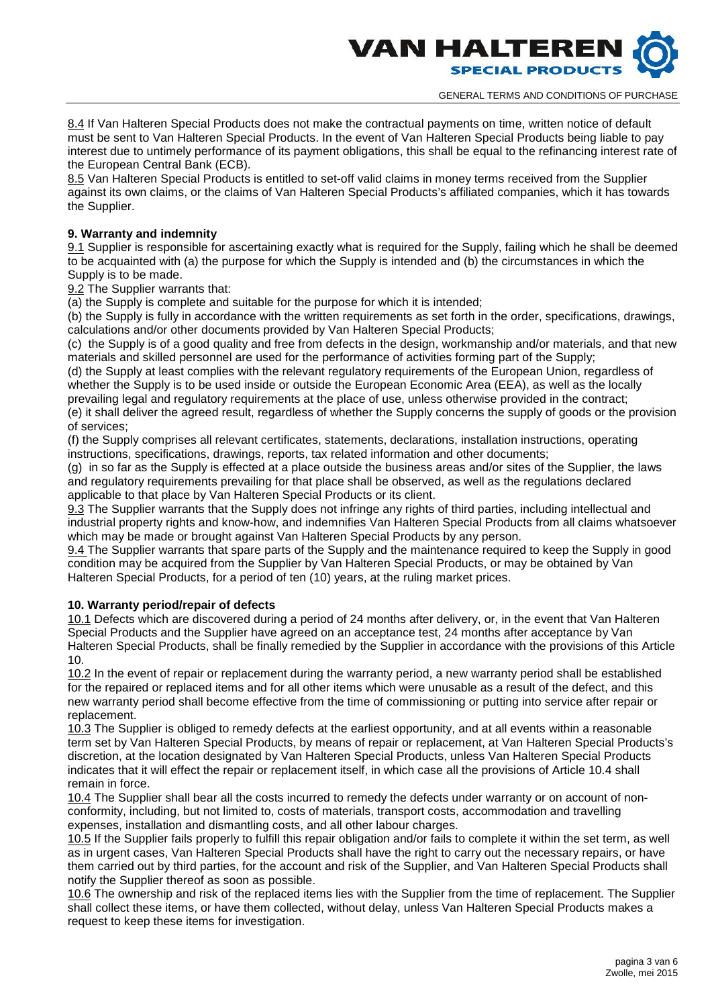

8.4 If Van Halteren Special Products does not make the contractual payments on time, written notice of default must be sent to Van Halteren Special Products. In the event of Van Halteren Special Products being liable to pay interest due to untimely performance of its payment obligations, this shall be equal to the refinancing interest rate of the European Central Bank (ECB).

8.5 Van Halteren Special Products is entitled to set-off valid claims in money terms received from the Supplier against its own claims, or the claims of Van Halteren Special Products's affiliated companies, which it has towards the Supplier.

### **9. Warranty and indemnity**

9.1 Supplier is responsible for ascertaining exactly what is required for the Supply, failing which he shall be deemed to be acquainted with (a) the purpose for which the Supply is intended and (b) the circumstances in which the Supply is to be made.

9.2 The Supplier warrants that:

(a) the Supply is complete and suitable for the purpose for which it is intended;

(b) the Supply is fully in accordance with the written requirements as set forth in the order, specifications, drawings, calculations and/or other documents provided by Van Halteren Special Products;

(c) the Supply is of a good quality and free from defects in the design, workmanship and/or materials, and that new materials and skilled personnel are used for the performance of activities forming part of the Supply;

(d) the Supply at least complies with the relevant regulatory requirements of the European Union, regardless of whether the Supply is to be used inside or outside the European Economic Area (EEA), as well as the locally prevailing legal and regulatory requirements at the place of use, unless otherwise provided in the contract;

(e) it shall deliver the agreed result, regardless of whether the Supply concerns the supply of goods or the provision of services;

(f) the Supply comprises all relevant certificates, statements, declarations, installation instructions, operating instructions, specifications, drawings, reports, tax related information and other documents;

(g) in so far as the Supply is effected at a place outside the business areas and/or sites of the Supplier, the laws and regulatory requirements prevailing for that place shall be observed, as well as the regulations declared applicable to that place by Van Halteren Special Products or its client.

9.3 The Supplier warrants that the Supply does not infringe any rights of third parties, including intellectual and industrial property rights and know-how, and indemnifies Van Halteren Special Products from all claims whatsoever which may be made or brought against Van Halteren Special Products by any person.

9.4 The Supplier warrants that spare parts of the Supply and the maintenance required to keep the Supply in good condition may be acquired from the Supplier by Van Halteren Special Products, or may be obtained by Van Halteren Special Products, for a period of ten (10) years, at the ruling market prices.

# **10. Warranty period/repair of defects**

10.1 Defects which are discovered during a period of 24 months after delivery, or, in the event that Van Halteren Special Products and the Supplier have agreed on an acceptance test, 24 months after acceptance by Van Halteren Special Products, shall be finally remedied by the Supplier in accordance with the provisions of this Article 10.

10.2 In the event of repair or replacement during the warranty period, a new warranty period shall be established for the repaired or replaced items and for all other items which were unusable as a result of the defect, and this new warranty period shall become effective from the time of commissioning or putting into service after repair or replacement.

10.3 The Supplier is obliged to remedy defects at the earliest opportunity, and at all events within a reasonable term set by Van Halteren Special Products, by means of repair or replacement, at Van Halteren Special Products's discretion, at the location designated by Van Halteren Special Products, unless Van Halteren Special Products indicates that it will effect the repair or replacement itself, in which case all the provisions of Article 10.4 shall remain in force.

10.4 The Supplier shall bear all the costs incurred to remedy the defects under warranty or on account of non conformity, including, but not limited to, costs of materials, transport costs, accommodation and travelling expenses, installation and dismantling costs, and all other labour charges.

10.5 If the Supplier fails properly to fulfill this repair obligation and/or fails to complete it within the set term, as well as in urgent cases, Van Halteren Special Products shall have the right to carry out the necessary repairs, or have them carried out by third parties, for the account and risk of the Supplier, and Van Halteren Special Products shall notify the Supplier thereof as soon as possible.

10.6 The ownership and risk of the replaced items lies with the Supplier from the time of replacement. The Supplier shall collect these items, or have them collected, without delay, unless Van Halteren Special Products makes a request to keep these items for investigation.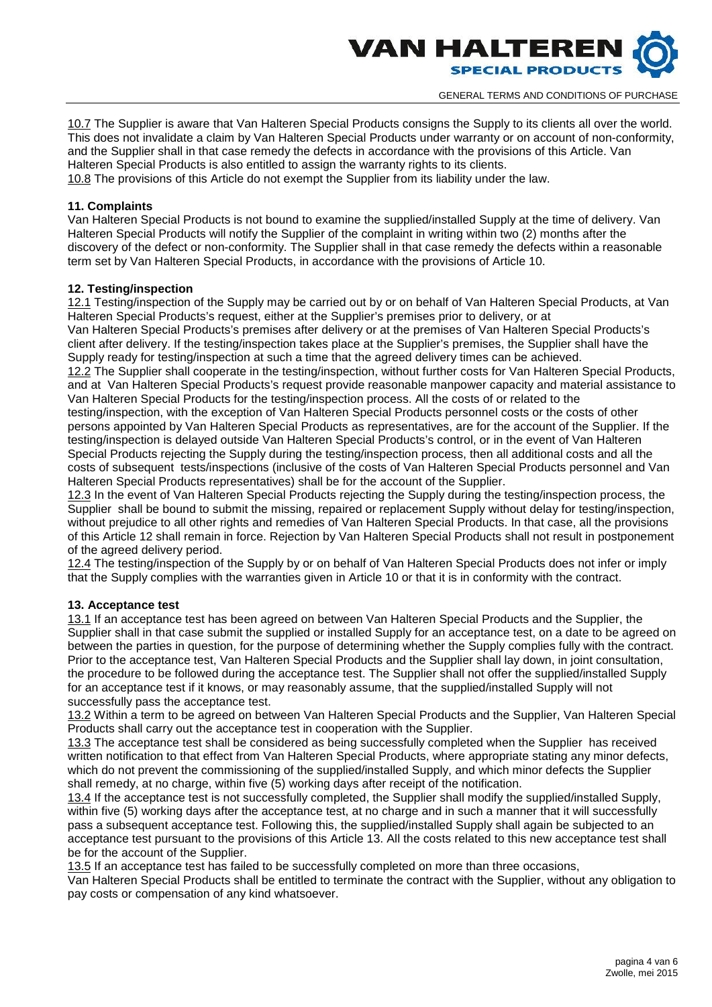

10.7 The Supplier is aware that Van Halteren Special Products consigns the Supply to its clients all over the world. This does not invalidate a claim by Van Halteren Special Products under warranty or on account of non-conformity, and the Supplier shall in that case remedy the defects in accordance with the provisions of this Article. Van Halteren Special Products is also entitled to assign the warranty rights to its clients.

10.8 The provisions of this Article do not exempt the Supplier from its liability under the law.

# **11. Complaints**

Van Halteren Special Products is not bound to examine the supplied/installed Supply at the time of delivery. Van Halteren Special Products will notify the Supplier of the complaint in writing within two (2) months after the discovery of the defect or non-conformity. The Supplier shall in that case remedy the defects within a reasonable term set by Van Halteren Special Products, in accordance with the provisions of Article 10.

# **12. Testing/inspection**

12.1 Testing/inspection of the Supply may be carried out by or on behalf of Van Halteren Special Products, at Van Halteren Special Products's request, either at the Supplier's premises prior to delivery, or at

Van Halteren Special Products's premises after delivery or at the premises of Van Halteren Special Products's client after delivery. If the testing/inspection takes place at the Supplier's premises, the Supplier shall have the Supply ready for testing/inspection at such a time that the agreed delivery times can be achieved.

12.2 The Supplier shall cooperate in the testing/inspection, without further costs for Van Halteren Special Products, and at Van Halteren Special Products's request provide reasonable manpower capacity and material assistance to Van Halteren Special Products for the testing/inspection process. All the costs of or related to the

testing/inspection, with the exception of Van Halteren Special Products personnel costs or the costs of other persons appointed by Van Halteren Special Products as representatives, are for the account of the Supplier. If the testing/inspection is delayed outside Van Halteren Special Products's control, or in the event of Van Halteren Special Products rejecting the Supply during the testing/inspection process, then all additional costs and all the costs of subsequent tests/inspections (inclusive of the costs of Van Halteren Special Products personnel and Van Halteren Special Products representatives) shall be for the account of the Supplier.

12.3 In the event of Van Halteren Special Products rejecting the Supply during the testing/inspection process, the Supplier shall be bound to submit the missing, repaired or replacement Supply without delay for testing/inspection, without prejudice to all other rights and remedies of Van Halteren Special Products. In that case, all the provisions of this Article 12 shall remain in force. Rejection by Van Halteren Special Products shall not result in postponement of the agreed delivery period.

12.4 The testing/inspection of the Supply by or on behalf of Van Halteren Special Products does not infer or imply that the Supply complies with the warranties given in Article 10 or that it is in conformity with the contract.

### **13. Acceptance test**

13.1 If an acceptance test has been agreed on between Van Halteren Special Products and the Supplier, the Supplier shall in that case submit the supplied or installed Supply for an acceptance test, on a date to be agreed on between the parties in question, for the purpose of determining whether the Supply complies fully with the contract. Prior to the acceptance test, Van Halteren Special Products and the Supplier shall lay down, in joint consultation, the procedure to be followed during the acceptance test. The Supplier shall not offer the supplied/installed Supply for an acceptance test if it knows, or may reasonably assume, that the supplied/installed Supply will not successfully pass the acceptance test.

13.2 Within a term to be agreed on between Van Halteren Special Products and the Supplier, Van Halteren Special Products shall carry out the acceptance test in cooperation with the Supplier.

13.3 The acceptance test shall be considered as being successfully completed when the Supplier has received written notification to that effect from Van Halteren Special Products, where appropriate stating any minor defects, which do not prevent the commissioning of the supplied/installed Supply, and which minor defects the Supplier shall remedy, at no charge, within five (5) working days after receipt of the notification.

13.4 If the acceptance test is not successfully completed, the Supplier shall modify the supplied/installed Supply, within five (5) working days after the acceptance test, at no charge and in such a manner that it will successfully pass a subsequent acceptance test. Following this, the supplied/installed Supply shall again be subjected to an acceptance test pursuant to the provisions of this Article 13. All the costs related to this new acceptance test shall be for the account of the Supplier.

13.5 If an acceptance test has failed to be successfully completed on more than three occasions,

Van Halteren Special Products shall be entitled to terminate the contract with the Supplier, without any obligation to pay costs or compensation of any kind whatsoever.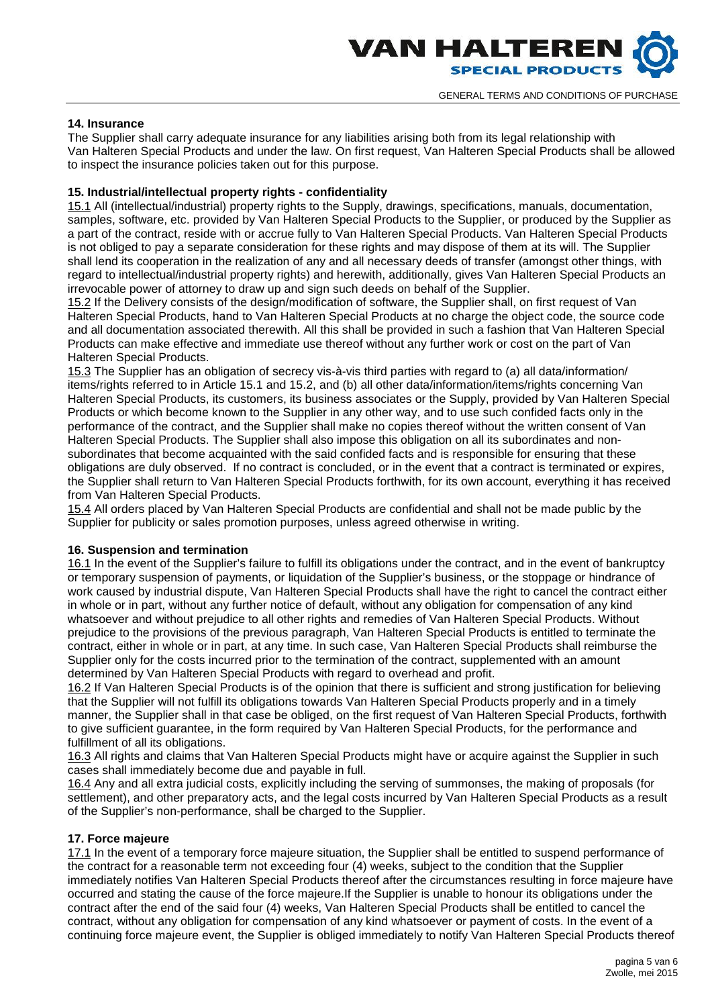

# **14. Insurance**

The Supplier shall carry adequate insurance for any liabilities arising both from its legal relationship with Van Halteren Special Products and under the law. On first request, Van Halteren Special Products shall be allowed to inspect the insurance policies taken out for this purpose.

# **15. Industrial/intellectual property rights - confidentiality**

15.1 All (intellectual/industrial) property rights to the Supply, drawings, specifications, manuals, documentation, samples, software, etc. provided by Van Halteren Special Products to the Supplier, or produced by the Supplier as a part of the contract, reside with or accrue fully to Van Halteren Special Products. Van Halteren Special Products is not obliged to pay a separate consideration for these rights and may dispose of them at its will. The Supplier shall lend its cooperation in the realization of any and all necessary deeds of transfer (amongst other things, with regard to intellectual/industrial property rights) and herewith, additionally, gives Van Halteren Special Products an irrevocable power of attorney to draw up and sign such deeds on behalf of the Supplier.

15.2 If the Delivery consists of the design/modification of software, the Supplier shall, on first request of Van Halteren Special Products, hand to Van Halteren Special Products at no charge the object code, the source code and all documentation associated therewith. All this shall be provided in such a fashion that Van Halteren Special Products can make effective and immediate use thereof without any further work or cost on the part of Van Halteren Special Products.

15.3 The Supplier has an obligation of secrecy vis-à-vis third parties with regard to (a) all data/information/ items/rights referred to in Article 15.1 and 15.2, and (b) all other data/information/items/rights concerning Van Halteren Special Products, its customers, its business associates or the Supply, provided by Van Halteren Special Products or which become known to the Supplier in any other way, and to use such confided facts only in the performance of the contract, and the Supplier shall make no copies thereof without the written consent of Van Halteren Special Products. The Supplier shall also impose this obligation on all its subordinates and non subordinates that become acquainted with the said confided facts and is responsible for ensuring that these obligations are duly observed. If no contract is concluded, or in the event that a contract is terminated or expires, the Supplier shall return to Van Halteren Special Products forthwith, for its own account, everything it has received from Van Halteren Special Products.

15.4 All orders placed by Van Halteren Special Products are confidential and shall not be made public by the Supplier for publicity or sales promotion purposes, unless agreed otherwise in writing.

### **16. Suspension and termination**

16.1 In the event of the Supplier's failure to fulfill its obligations under the contract, and in the event of bankruptcy or temporary suspension of payments, or liquidation of the Supplier's business, or the stoppage or hindrance of work caused by industrial dispute, Van Halteren Special Products shall have the right to cancel the contract either in whole or in part, without any further notice of default, without any obligation for compensation of any kind whatsoever and without prejudice to all other rights and remedies of Van Halteren Special Products. Without prejudice to the provisions of the previous paragraph, Van Halteren Special Products is entitled to terminate the contract, either in whole or in part, at any time. In such case, Van Halteren Special Products shall reimburse the Supplier only for the costs incurred prior to the termination of the contract, supplemented with an amount determined by Van Halteren Special Products with regard to overhead and profit.

16.2 If Van Halteren Special Products is of the opinion that there is sufficient and strong justification for believing that the Supplier will not fulfill its obligations towards Van Halteren Special Products properly and in a timely manner, the Supplier shall in that case be obliged, on the first request of Van Halteren Special Products, forthwith to give sufficient guarantee, in the form required by Van Halteren Special Products, for the performance and fulfillment of all its obligations.

16.3 All rights and claims that Van Halteren Special Products might have or acquire against the Supplier in such cases shall immediately become due and payable in full.

16.4 Any and all extra judicial costs, explicitly including the serving of summonses, the making of proposals (for settlement), and other preparatory acts, and the legal costs incurred by Van Halteren Special Products as a result of the Supplier's non-performance, shall be charged to the Supplier.

### **17. Force majeure**

17.1 In the event of a temporary force majeure situation, the Supplier shall be entitled to suspend performance of the contract for a reasonable term not exceeding four (4) weeks, subject to the condition that the Supplier immediately notifies Van Halteren Special Products thereof after the circumstances resulting in force majeure have occurred and stating the cause of the force majeure.If the Supplier is unable to honour its obligations under the contract after the end of the said four (4) weeks, Van Halteren Special Products shall be entitled to cancel the contract, without any obligation for compensation of any kind whatsoever or payment of costs. In the event of a continuing force majeure event, the Supplier is obliged immediately to notify Van Halteren Special Products thereof